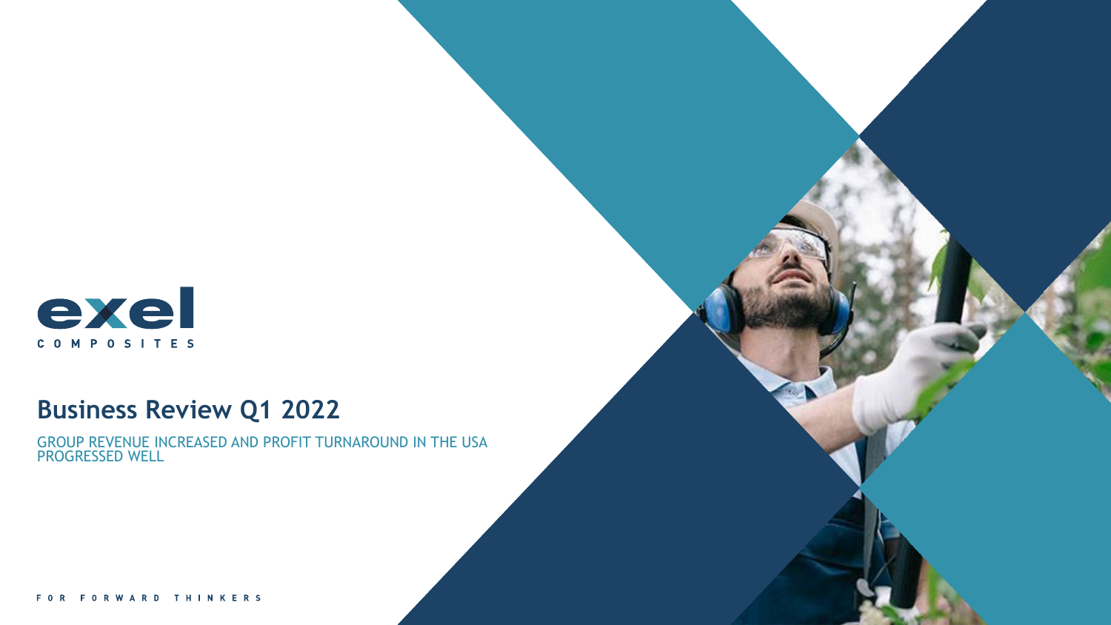

# **Business Review Q1 2022**

GROUP REVENUE INCREASED AND PROFIT TURNAROUND IN THE USA PROGRESSED WELL

FOR FORWARD THINKERS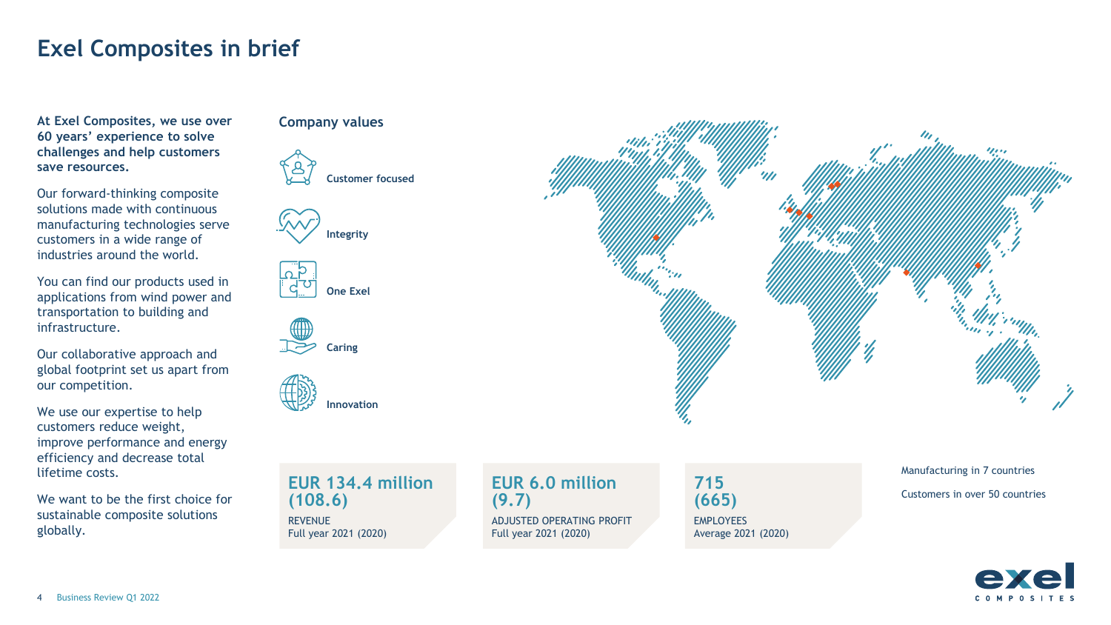## **Exel Composites in brief**

**At Exel Composites, we use over 60 years' experience to solve challenges and help customers save resources.** 

Our forward-thinking composite solutions made with continuous manufacturing technologies serve customers in a wide range of industries around the world.

You can find our products used in applications from wind power and transportation to building and infrastructure.

Our collaborative approach and global footprint set us apart from our competition.

We use our expertise to help customers reduce weight, improve performance and energy efficiency and decrease total lifetime costs.

We want to be the first choice for sustainable composite solutions globally.

#### **Company values**











**EUR 134.4 million (108.6) REVENUE** Full year 2021 (2020)

**EUR 6.0 million (9.7)** ADJUSTED OPERATING PROFIT Full year 2021 (2020)

**715 (665)** EMPLOYEES Average 2021 (2020) Manufacturing in 7 countries Customers in over 50 countries





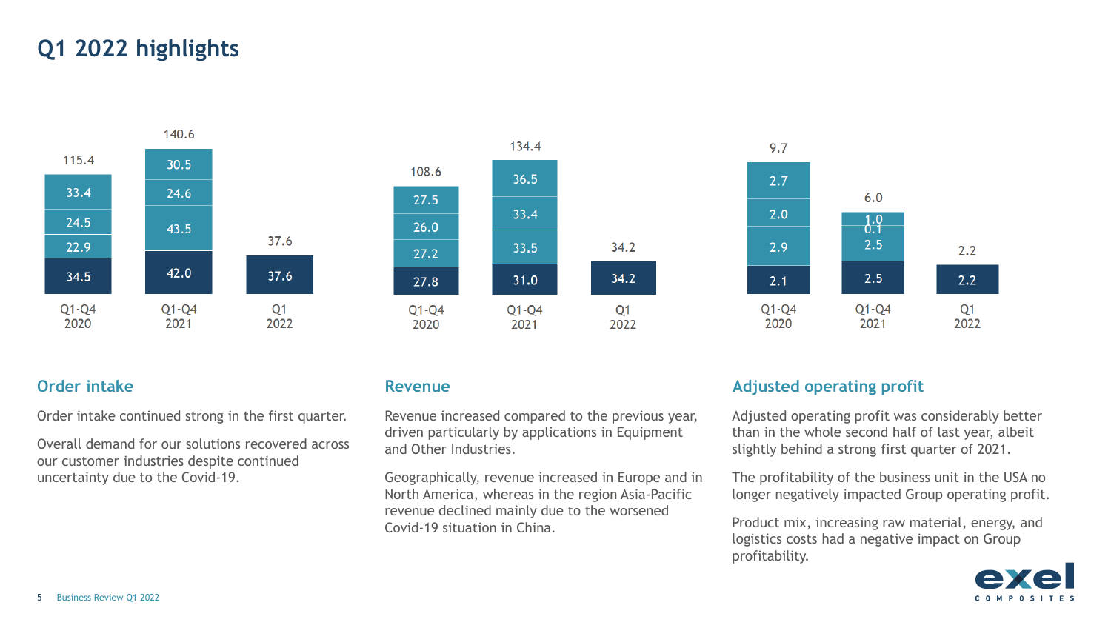# **Q1 2022 highlights**







Order intake continued strong in the first quarter.

Overall demand for our solutions recovered across our customer industries despite continued uncertainty due to the Covid-19.

Revenue increased compared to the previous year, driven particularly by applications in Equipment and Other Industries.

Geographically, revenue increased in Europe and in North America, whereas in the region Asia-Pacific revenue declined mainly due to the worsened Covid-19 situation in China.

#### **Order intake Revenue Revenue Revenue Adjusted operating profit**

Adjusted operating profit was considerably better than in the whole second half of last year, albeit slightly behind a strong first quarter of 2021.

The profitability of the business unit in the USA no longer negatively impacted Group operating profit.

Product mix, increasing raw material, energy, and logistics costs had a negative impact on Group profitability.

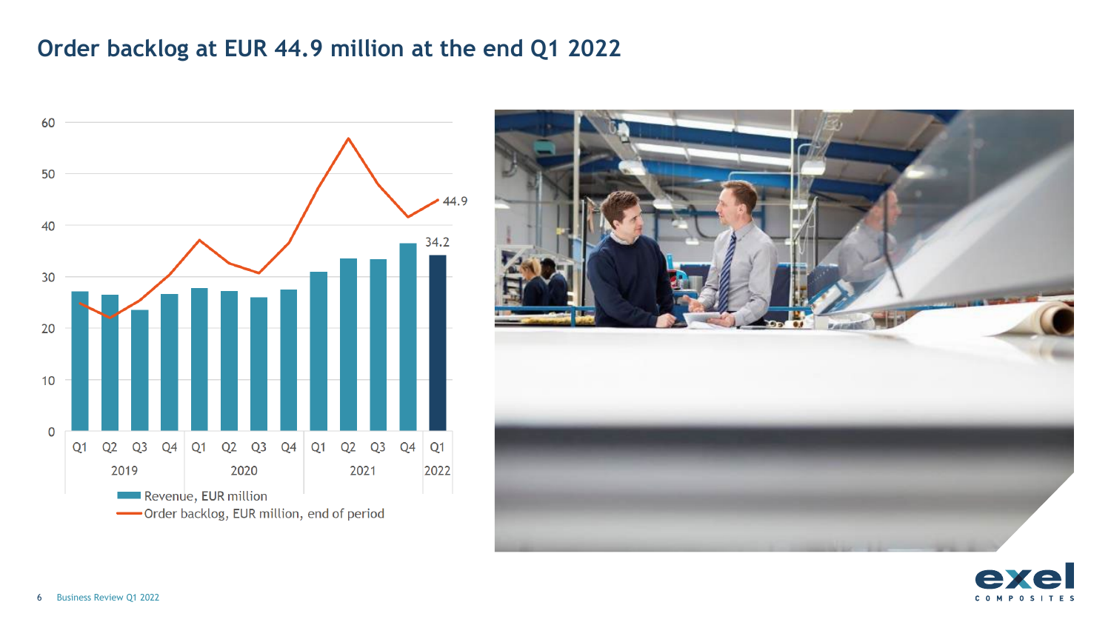# **Order backlog at EUR 44.9 million at the end Q1 2022**





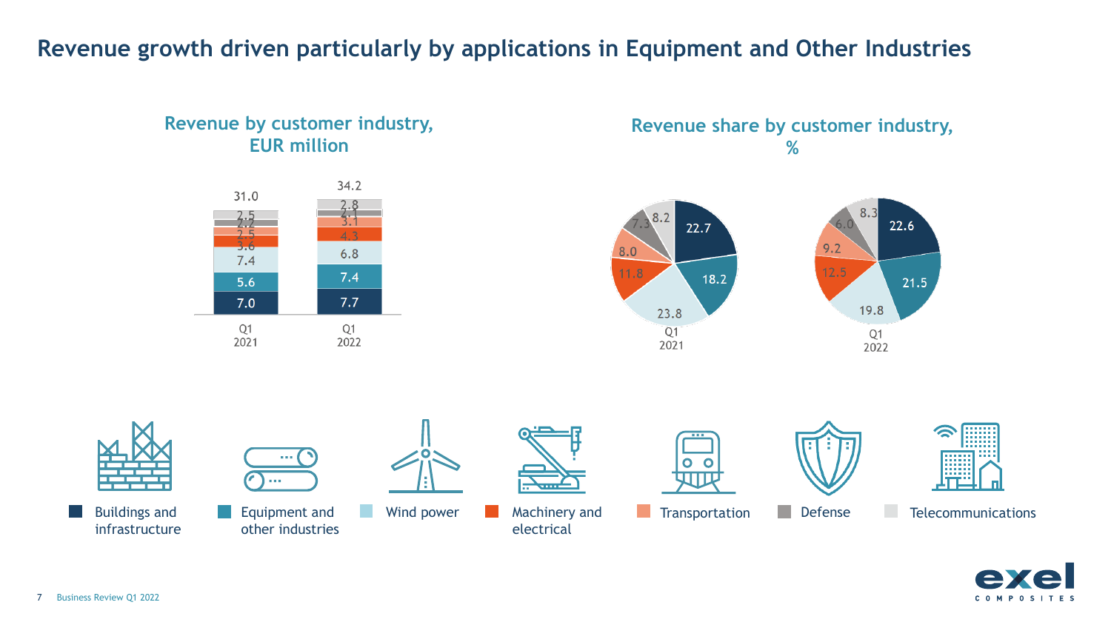# **Revenue growth driven particularly by applications in Equipment and Other Industries**

### **Revenue by customer industry, EUR million**



#### **Revenue share by customer industry, %**









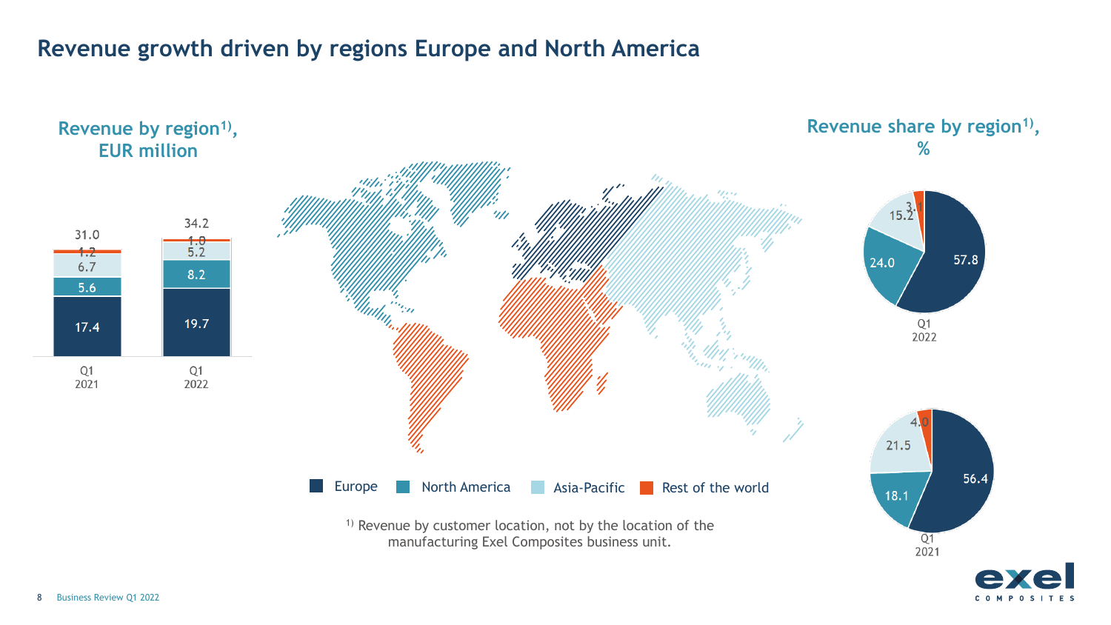# **Revenue growth driven by regions Europe and North America**

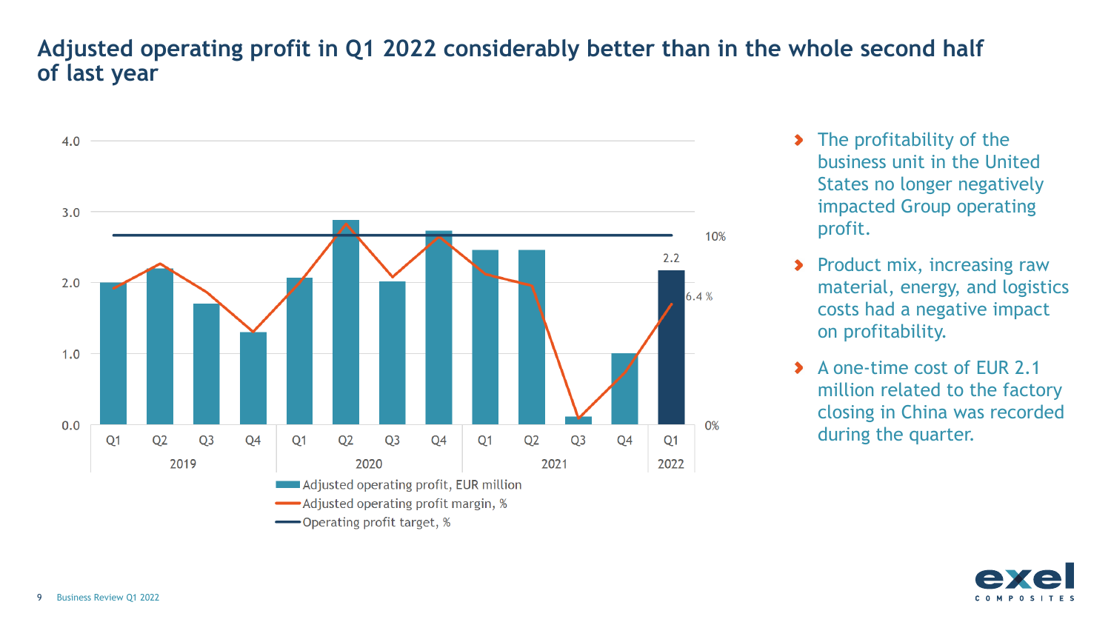# **Adjusted operating profit in Q1 2022 considerably better than in the whole second half of last year**



- **The profitability of the** business unit in the United States no longer negatively impacted Group operating profit.
- **Product mix, increasing raw** material, energy, and logistics costs had a negative impact on profitability.
- A one-time cost of EUR 2.1  $\blacktriangleright$ million related to the factory closing in China was recorded during the quarter.

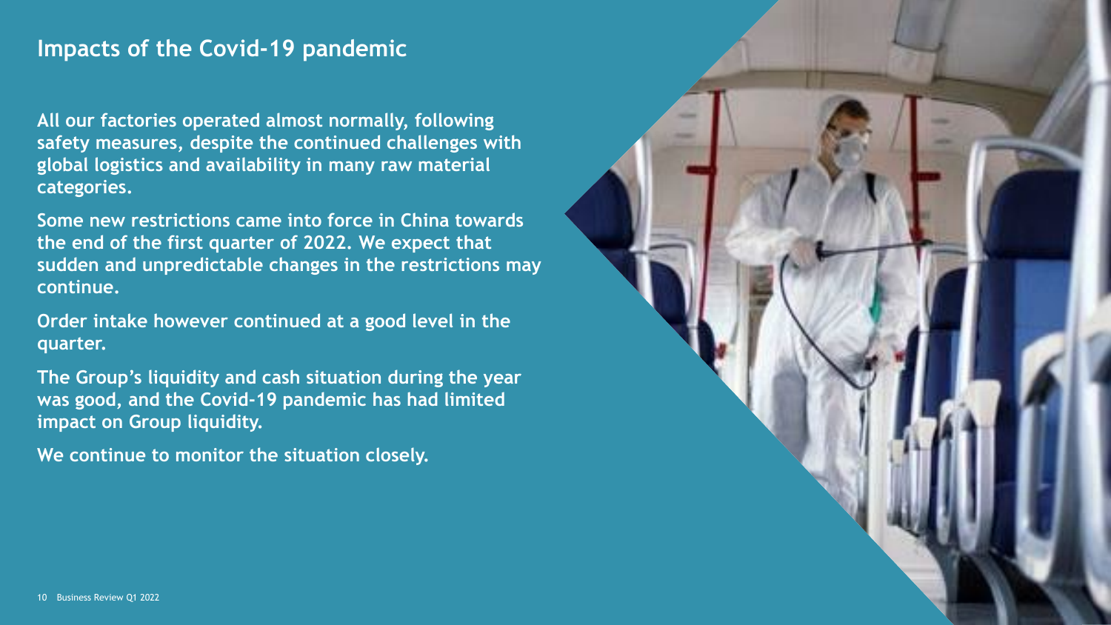## **Impacts of the Covid-19 pandemic**

**All our factories operated almost normally, following safety measures, despite the continued challenges with global logistics and availability in many raw material categories.**

**Some new restrictions came into force in China towards the end of the first quarter of 2022. We expect that sudden and unpredictable changes in the restrictions may continue.**

**Order intake however continued at a good level in the quarter.** 

**The Group's liquidity and cash situation during the year was good, and the Covid-19 pandemic has had limited impact on Group liquidity.**

**We continue to monitor the situation closely.** 

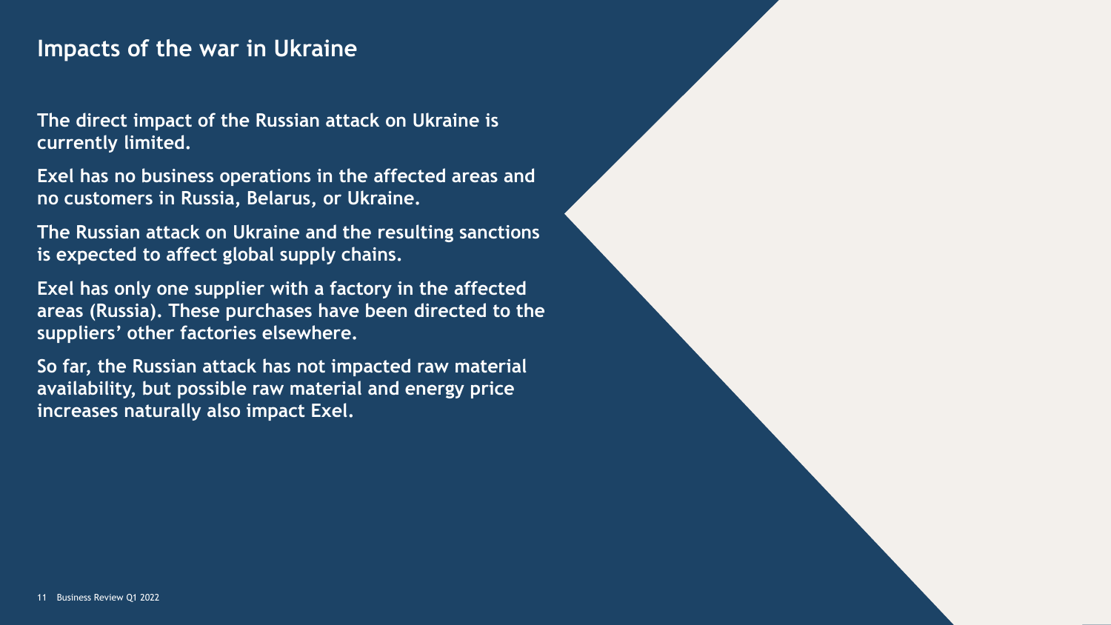## **Impacts of the war in Ukraine**

**The direct impact of the Russian attack on Ukraine is currently limited.** 

**Exel has no business operations in the affected areas and no customers in Russia, Belarus, or Ukraine.** 

**The Russian attack on Ukraine and the resulting sanctions is expected to affect global supply chains.** 

**Exel has only one supplier with a factory in the affected areas (Russia). These purchases have been directed to the suppliers' other factories elsewhere.** 

**So far, the Russian attack has not impacted raw material availability, but possible raw material and energy price increases naturally also impact Exel.**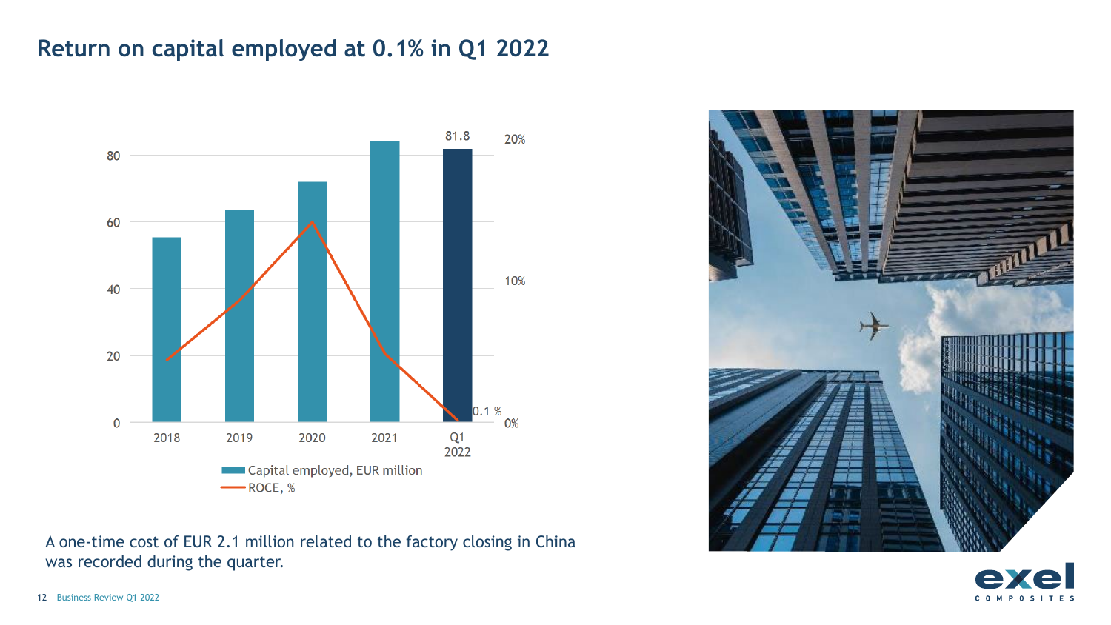# **Return on capital employed at 0.1% in Q1 2022**

![](_page_9_Figure_1.jpeg)

A one-time cost of EUR 2.1 million related to the factory closing in China was recorded during the quarter.

![](_page_9_Picture_3.jpeg)

![](_page_9_Picture_4.jpeg)

12 Business Review Q1 2022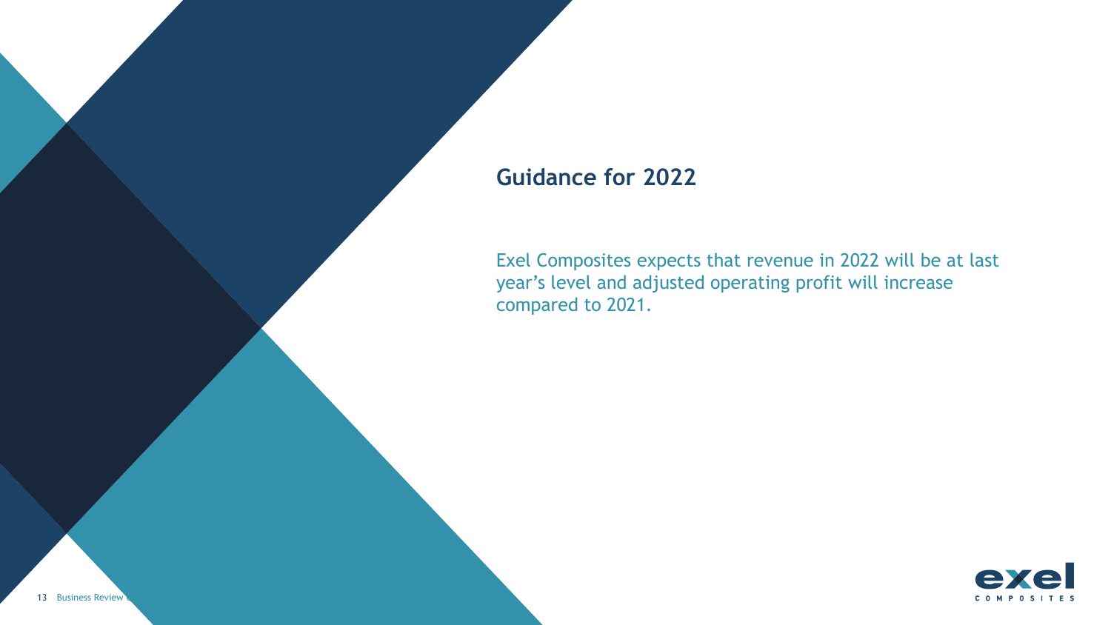## **Guidance for 2022**

Exel Composites expects that revenue in 2022 will be at last year's level and adjusted operating profit will increase compared to 2021.

![](_page_10_Picture_2.jpeg)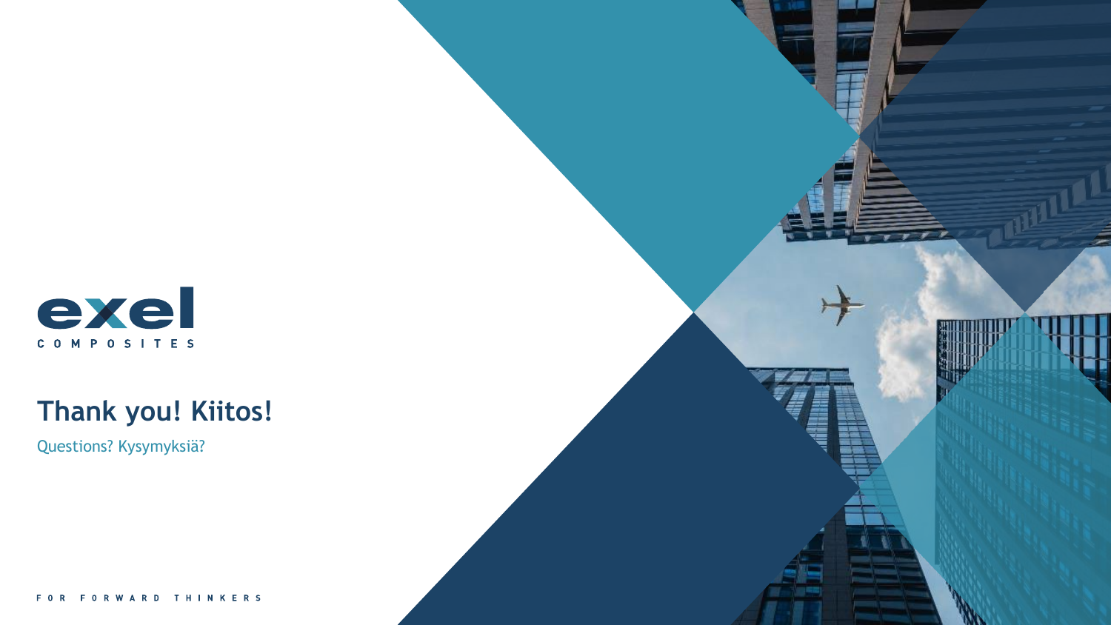![](_page_11_Picture_0.jpeg)

# **Thank you! Kiitos!**

Questions? Kysymyksiä?

FORWARD THINKERS FOR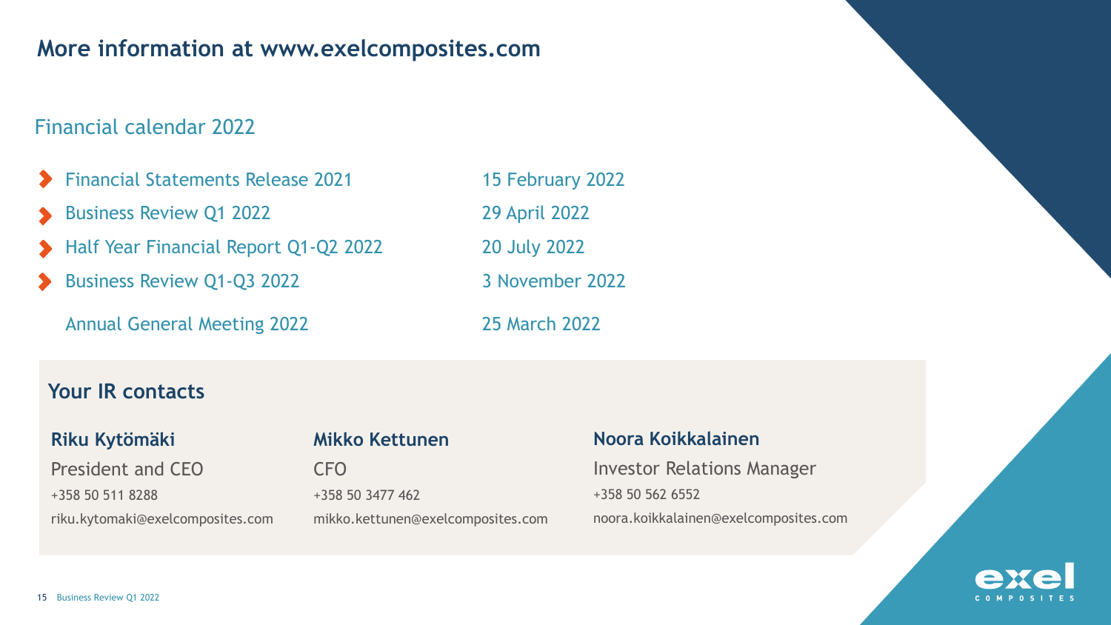## **More information at www.exelcomposites.com**

## Financial calendar 2022

- Financial Statements Release 2021 15 February 2022
- Business Review Q1 2022 29 April 2022
- Half Year Financial Report Q1-Q2 2022 2018 2014 2022
- Business Review Q1-Q3 2022 3 November 2022

Annual General Meeting 2022 25 March 2022

### **Your IR contacts**

#### **Riku Kytömäki**

President and CEO +358 50 511 8288 riku.kytomaki@exelcomposites.com

#### **Mikko Kettunen**

CFO +358 50 3477 462 mikko.kettunen@exelcomposites.com

#### **Noora Koikkalainen**

Investor Relations Manager +358 50 562 6552 noora.koikkalainen@exelcomposites.com

![](_page_12_Picture_16.jpeg)